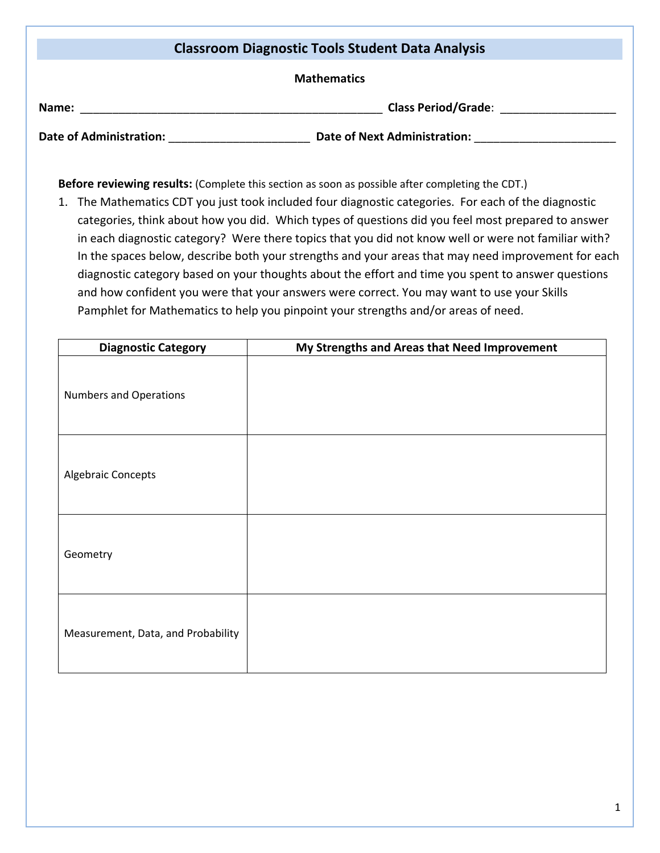| <b>Classroom Diagnostic Tools Student Data Analysis</b> |                                     |  |  |  |
|---------------------------------------------------------|-------------------------------------|--|--|--|
| <b>Mathematics</b>                                      |                                     |  |  |  |
| Name:                                                   | <b>Class Period/Grade:</b>          |  |  |  |
| <b>Date of Administration:</b>                          | <b>Date of Next Administration:</b> |  |  |  |

**Before reviewing results:** (Complete this section as soon as possible after completing the CDT.)

1. The Mathematics CDT you just took included four diagnostic categories. For each of the diagnostic categories, think about how you did. Which types of questions did you feel most prepared to answer in each diagnostic category? Were there topics that you did not know well or were not familiar with? In the spaces below, describe both your strengths and your areas that may need improvement for each diagnostic category based on your thoughts about the effort and time you spent to answer questions and how confident you were that your answers were correct. You may want to use your Skills Pamphlet for Mathematics to help you pinpoint your strengths and/or areas of need.

| <b>Diagnostic Category</b>         | My Strengths and Areas that Need Improvement |  |  |  |
|------------------------------------|----------------------------------------------|--|--|--|
| <b>Numbers and Operations</b>      |                                              |  |  |  |
| Algebraic Concepts                 |                                              |  |  |  |
| Geometry                           |                                              |  |  |  |
| Measurement, Data, and Probability |                                              |  |  |  |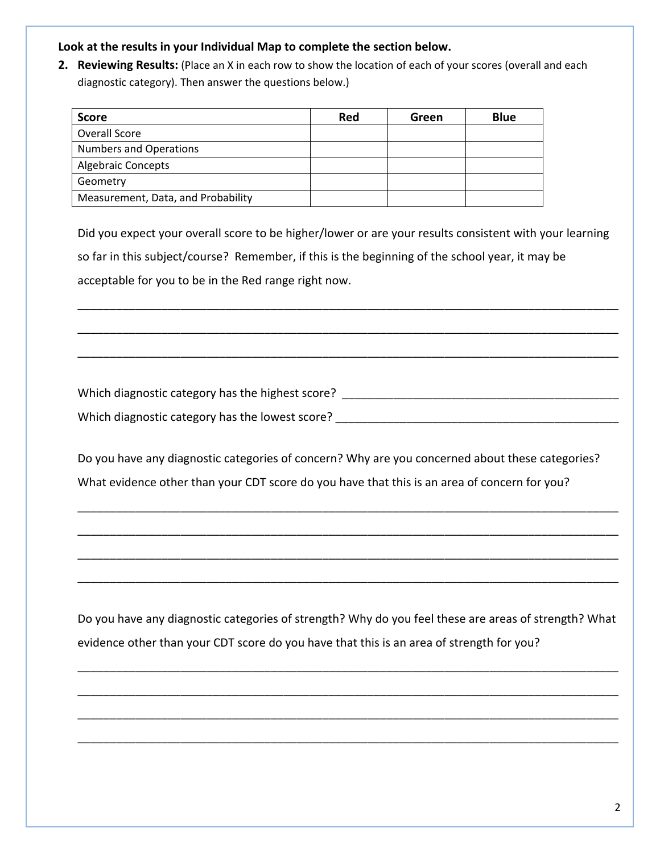## **Look at the results in your Individual Map to complete the section below.**

**2. Reviewing Results:** (Place an X in each row to show the location of each of your scores (overall and each diagnostic category). Then answer the questions below.)

| <b>Score</b>                       | Red | Green | <b>Blue</b> |
|------------------------------------|-----|-------|-------------|
| Overall Score                      |     |       |             |
| <b>Numbers and Operations</b>      |     |       |             |
| <b>Algebraic Concepts</b>          |     |       |             |
| Geometry                           |     |       |             |
| Measurement, Data, and Probability |     |       |             |

Did you expect your overall score to be higher/lower or are your results consistent with your learning so far in this subject/course? Remember, if this is the beginning of the school year, it may be acceptable for you to be in the Red range right now.

\_\_\_\_\_\_\_\_\_\_\_\_\_\_\_\_\_\_\_\_\_\_\_\_\_\_\_\_\_\_\_\_\_\_\_\_\_\_\_\_\_\_\_\_\_\_\_\_\_\_\_\_\_\_\_\_\_\_\_\_\_\_\_\_\_\_\_\_\_\_\_\_\_\_\_\_\_\_\_\_\_\_\_\_

\_\_\_\_\_\_\_\_\_\_\_\_\_\_\_\_\_\_\_\_\_\_\_\_\_\_\_\_\_\_\_\_\_\_\_\_\_\_\_\_\_\_\_\_\_\_\_\_\_\_\_\_\_\_\_\_\_\_\_\_\_\_\_\_\_\_\_\_\_\_\_\_\_\_\_\_\_\_\_\_\_\_\_\_

\_\_\_\_\_\_\_\_\_\_\_\_\_\_\_\_\_\_\_\_\_\_\_\_\_\_\_\_\_\_\_\_\_\_\_\_\_\_\_\_\_\_\_\_\_\_\_\_\_\_\_\_\_\_\_\_\_\_\_\_\_\_\_\_\_\_\_\_\_\_\_\_\_\_\_\_\_\_\_\_\_\_\_\_

Which diagnostic category has the highest score? \_\_\_\_\_\_\_\_\_\_\_\_\_\_\_\_\_\_\_\_\_\_\_\_\_\_\_\_\_\_\_\_ Which diagnostic category has the lowest score?  $\blacksquare$ 

Do you have any diagnostic categories of concern? Why are you concerned about these categories? What evidence other than your CDT score do you have that this is an area of concern for you?

\_\_\_\_\_\_\_\_\_\_\_\_\_\_\_\_\_\_\_\_\_\_\_\_\_\_\_\_\_\_\_\_\_\_\_\_\_\_\_\_\_\_\_\_\_\_\_\_\_\_\_\_\_\_\_\_\_\_\_\_\_\_\_\_\_\_\_\_\_\_\_\_\_\_\_\_\_\_\_\_\_\_\_\_

\_\_\_\_\_\_\_\_\_\_\_\_\_\_\_\_\_\_\_\_\_\_\_\_\_\_\_\_\_\_\_\_\_\_\_\_\_\_\_\_\_\_\_\_\_\_\_\_\_\_\_\_\_\_\_\_\_\_\_\_\_\_\_\_\_\_\_\_\_\_\_\_\_\_\_\_\_\_\_\_\_\_\_\_

\_\_\_\_\_\_\_\_\_\_\_\_\_\_\_\_\_\_\_\_\_\_\_\_\_\_\_\_\_\_\_\_\_\_\_\_\_\_\_\_\_\_\_\_\_\_\_\_\_\_\_\_\_\_\_\_\_\_\_\_\_\_\_\_\_\_\_\_\_\_\_\_\_\_\_\_\_\_\_\_\_\_\_\_

\_\_\_\_\_\_\_\_\_\_\_\_\_\_\_\_\_\_\_\_\_\_\_\_\_\_\_\_\_\_\_\_\_\_\_\_\_\_\_\_\_\_\_\_\_\_\_\_\_\_\_\_\_\_\_\_\_\_\_\_\_\_\_\_\_\_\_\_\_\_\_\_\_\_\_\_\_\_\_\_\_\_\_\_

Do you have any diagnostic categories of strength? Why do you feel these are areas of strength? What evidence other than your CDT score do you have that this is an area of strength for you?

\_\_\_\_\_\_\_\_\_\_\_\_\_\_\_\_\_\_\_\_\_\_\_\_\_\_\_\_\_\_\_\_\_\_\_\_\_\_\_\_\_\_\_\_\_\_\_\_\_\_\_\_\_\_\_\_\_\_\_\_\_\_\_\_\_\_\_\_\_\_\_\_\_\_\_\_\_\_\_\_\_\_\_\_

\_\_\_\_\_\_\_\_\_\_\_\_\_\_\_\_\_\_\_\_\_\_\_\_\_\_\_\_\_\_\_\_\_\_\_\_\_\_\_\_\_\_\_\_\_\_\_\_\_\_\_\_\_\_\_\_\_\_\_\_\_\_\_\_\_\_\_\_\_\_\_\_\_\_\_\_\_\_\_\_\_\_\_\_

\_\_\_\_\_\_\_\_\_\_\_\_\_\_\_\_\_\_\_\_\_\_\_\_\_\_\_\_\_\_\_\_\_\_\_\_\_\_\_\_\_\_\_\_\_\_\_\_\_\_\_\_\_\_\_\_\_\_\_\_\_\_\_\_\_\_\_\_\_\_\_\_\_\_\_\_\_\_\_\_\_\_\_\_

\_\_\_\_\_\_\_\_\_\_\_\_\_\_\_\_\_\_\_\_\_\_\_\_\_\_\_\_\_\_\_\_\_\_\_\_\_\_\_\_\_\_\_\_\_\_\_\_\_\_\_\_\_\_\_\_\_\_\_\_\_\_\_\_\_\_\_\_\_\_\_\_\_\_\_\_\_\_\_\_\_\_\_\_